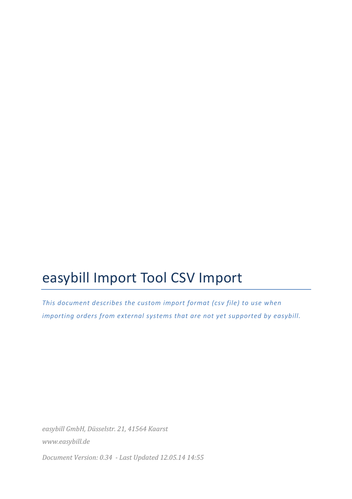# easybill Import Tool CSV Import

*This document describes the custom import format (csv file) to use when importing* orders from external systems that are not yet supported by easybill.

*easybill GmbH, Düsselstr. 21, 41564 Kaarst www.easybill.de*

*Document Version: 0.34 - Last Updated 12.05.14 14:55*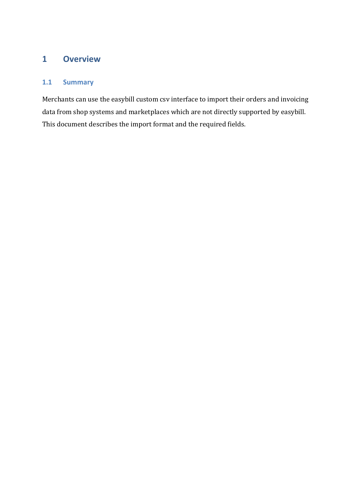# **1 Overview**

## **1.1 Summary**

Merchants can use the easybill custom csv interface to import their orders and invoicing data from shop systems and marketplaces which are not directly supported by easybill. This document describes the import format and the required fields.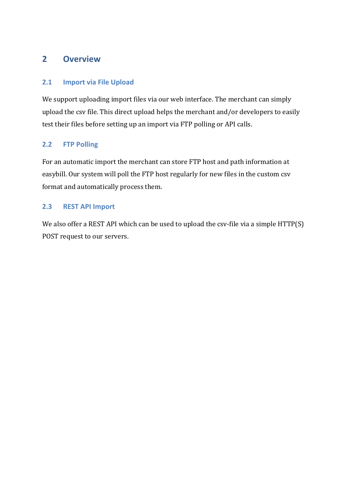## **2 Overview**

### **2.1 Import via File Upload**

We support uploading import files via our web interface. The merchant can simply upload the csv file. This direct upload helps the merchant and/or developers to easily test their files before setting up an import via FTP polling or API calls.

## 2.2 **FTP Polling**

For an automatic import the merchant can store FTP host and path information at easybill. Our system will poll the FTP host regularly for new files in the custom csv format and automatically process them.

#### **2.3 REST API Import**

We also offer a REST API which can be used to upload the  $csv$ -file via a simple  $HTTP(S)$ POST request to our servers.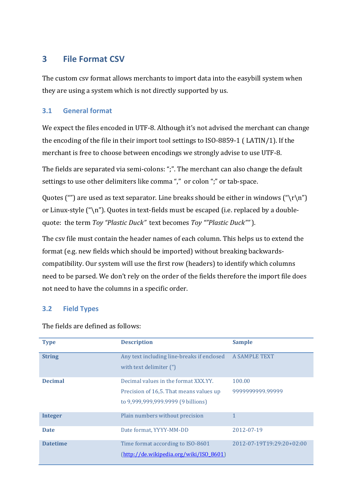## **3 File Format CSV**

The custom csy format allows merchants to import data into the easybill system when they are using a system which is not directly supported by us.

### **3.1 General format**

We expect the files encoded in UTF-8. Although it's not advised the merchant can change the encoding of the file in their import tool settings to  $ISO-8859-1$  ( $LATIN/1$ ). If the merchant is free to choose between encodings we strongly advise to use UTF-8.

The fields are separated via semi-colons: ";". The merchant can also change the default settings to use other delimiters like comma "," or colon ";" or tab-space.

Quotes ("") are used as text separator. Line breaks should be either in windows ("\r\n") or Linux-style  $(\hat{\ }')$ . Quotes in text-fields must be escaped (i.e. replaced by a doublequote: the term *Toy "Plastic Duck"* text becomes *Toy ""Plastic Duck""*).

The csv file must contain the header names of each column. This helps us to extend the format (e.g. new fields which should be imported) without breaking backwardscompatibility. Our system will use the first row (headers) to identify which columns need to be parsed. We don't rely on the order of the fields therefore the import file does not need to have the columns in a specific order.

## **3.2 Field Types**

| <b>Type</b>     | <b>Description</b>                                                                                                    | <b>Sample</b>              |
|-----------------|-----------------------------------------------------------------------------------------------------------------------|----------------------------|
| <b>String</b>   | Any text including line-breaks if enclosed<br>with text delimiter (")                                                 | A SAMPLE TEXT              |
| <b>Decimal</b>  | Decimal values in the format XXX.YY.<br>Precision of 16,5. That means values up<br>to 9,999,999,999.9999 (9 billions) | 100.00<br>9999999999.99999 |
| <b>Integer</b>  | Plain numbers without precision                                                                                       |                            |
| <b>Date</b>     | Date format, YYYY-MM-DD                                                                                               | 2012-07-19                 |
| <b>Datetime</b> | Time format according to ISO-8601<br>(http://de.wikipedia.org/wiki/ISO_8601)                                          | 2012-07-19T19:29:20+02:00  |

The fields are defined as follows: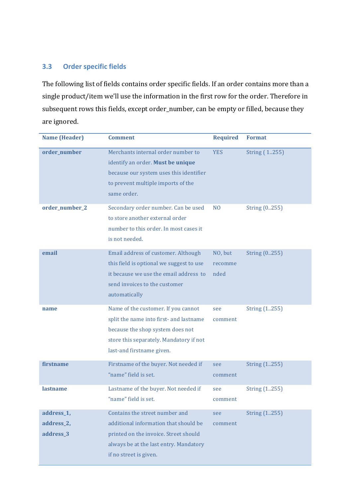## **3.3 Order specific fields**

The following list of fields contains order specific fields. If an order contains more than a single product/item we'll use the information in the first row for the order. Therefore in subsequent rows this fields, except order\_number, can be empty or filled, because they are ignored.

| <b>Name (Header)</b>                  | <b>Comment</b>                                                                                                                                                                             | <b>Required</b>            | <b>Format</b>  |
|---------------------------------------|--------------------------------------------------------------------------------------------------------------------------------------------------------------------------------------------|----------------------------|----------------|
| order_number                          | Merchants internal order number to<br>identify an order. Must be unique<br>because our system uses this identifier<br>to prevent multiple imports of the<br>same order.                    | <b>YES</b>                 | String (1.255) |
| order_number_2                        | Secondary order number. Can be used<br>to store another external order<br>number to this order. In most cases it<br>is not needed.                                                         | N <sub>O</sub>             | String (0.255) |
| email                                 | Email address of customer. Although<br>this field is optional we suggest to use<br>it because we use the email address to<br>send invoices to the customer<br>automatically                | NO, but<br>recomme<br>nded | String (0255)  |
| name                                  | Name of the customer. If you cannot<br>split the name into first- and lastname<br>because the shop system does not<br>store this separately. Mandatory if not<br>last-and firstname given. | see<br>comment             | String (1.255) |
| firstname                             | Firstname of the buyer. Not needed if<br>"name" field is set.                                                                                                                              | see<br>comment             | String (1255)  |
| lastname                              | Lastname of the buyer. Not needed if<br>'name" field is set.                                                                                                                               | see<br>comment             | String (1255)  |
| address_1,<br>address_2,<br>address_3 | Contains the street number and<br>additional information that should be<br>printed on the invoice. Street should<br>always be at the last entry. Mandatory<br>if no street is given.       | see<br>comment             | String (1255)  |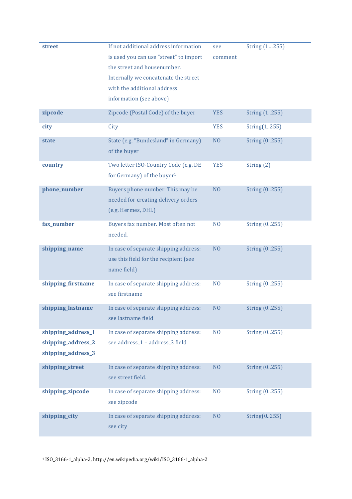| <b>street</b>                                                  | If not additional address information<br>is used you can use "street" to import<br>the street and housenumber.<br>Internally we concatenate the street<br>with the additional address<br>information (see above) | see<br>comment | String (1255)  |
|----------------------------------------------------------------|------------------------------------------------------------------------------------------------------------------------------------------------------------------------------------------------------------------|----------------|----------------|
| zipcode                                                        | Zipcode (Postal Code) of the buyer                                                                                                                                                                               | <b>YES</b>     | String (1.255) |
| city                                                           | City                                                                                                                                                                                                             | <b>YES</b>     | String(1.255)  |
| state                                                          | State (e.g. "Bundesland" in Germany)<br>of the buyer                                                                                                                                                             | N <sub>O</sub> | String (0255)  |
| country                                                        | Two letter ISO-Country Code (e.g. DE<br>for Germany) of the buyer <sup>1</sup>                                                                                                                                   | <b>YES</b>     | String (2)     |
| phone_number                                                   | Buyers phone number. This may be<br>needed for creating delivery orders<br>(e.g. Hermes, DHL)                                                                                                                    | N <sub>O</sub> | String (0255)  |
| fax_number                                                     | Buyers fax number. Most often not<br>needed.                                                                                                                                                                     | N <sub>O</sub> | String (0255)  |
| shipping_name                                                  | In case of separate shipping address:<br>use this field for the recipient (see<br>name field)                                                                                                                    | N <sub>O</sub> | String (0255)  |
| shipping_firstname                                             | In case of separate shipping address:<br>see firstname                                                                                                                                                           | N <sub>O</sub> | String (0.255) |
| shipping_lastname                                              | In case of separate shipping address:<br>see lastname field                                                                                                                                                      | N <sub>0</sub> | String (0255)  |
| shipping_address_1<br>shipping_address_2<br>shipping_address_3 | In case of separate shipping address:<br>see address_1 - address_3 field                                                                                                                                         | N <sub>O</sub> | String (0255)  |
| shipping_street                                                | In case of separate shipping address:<br>see street field.                                                                                                                                                       | N <sub>O</sub> | String (0255)  |
| shipping_zipcode                                               | In case of separate shipping address:<br>see zipcode                                                                                                                                                             | N <sub>O</sub> | String (0255)  |
| shipping_city                                                  | In case of separate shipping address:<br>see city                                                                                                                                                                | N <sub>O</sub> | String(0255)   |

 $11SO_3166$ -1\_alpha-2, http://en.wikipedia.org/wiki/ISO\_3166-1\_alpha-2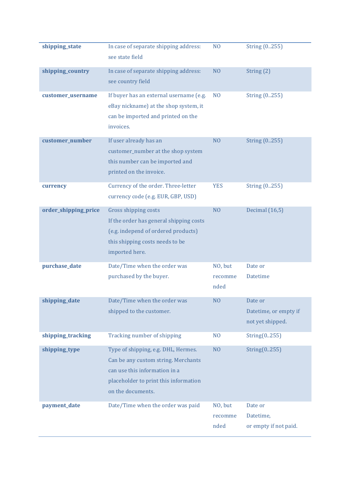| shipping_state       | In case of separate shipping address:<br>see state field                                                                                                                  | N <sub>O</sub>             | String (0255)                                        |
|----------------------|---------------------------------------------------------------------------------------------------------------------------------------------------------------------------|----------------------------|------------------------------------------------------|
| shipping_country     | In case of separate shipping address:<br>see country field                                                                                                                | N <sub>O</sub>             | String $(2)$                                         |
| customer_username    | If buyer has an external username (e.g.<br>eBay nickname) at the shop system, it<br>can be imported and printed on the<br>invoices.                                       | N <sub>O</sub>             | String (0255)                                        |
| customer_number      | If user already has an<br>customer_number at the shop system<br>this number can be imported and<br>printed on the invoice.                                                | N <sub>O</sub>             | String (0255)                                        |
| currency             | Currency of the order. Three-letter<br>currency code (e.g. EUR, GBP, USD)                                                                                                 | <b>YES</b>                 | String (0255)                                        |
| order_shipping_price | Gross shipping costs<br>If the order has general shipping costs<br>(e.g. independ of ordered products)<br>this shipping costs needs to be<br>imported here.               | N <sub>O</sub>             | Decimal (16,5)                                       |
| purchase_date        | Date/Time when the order was<br>purchased by the buyer.                                                                                                                   | NO, but<br>recomme<br>nded | Date or<br><b>Datetime</b>                           |
| shipping_date        | Date/Time when the order was<br>shipped to the customer.                                                                                                                  | N <sub>O</sub>             | Date or<br>Datetime, or empty if<br>not yet shipped. |
| shipping_tracking    | Tracking number of shipping                                                                                                                                               | N <sub>O</sub>             | String(0.255)                                        |
| shipping_type        | Type of shipping, e.g. DHL, Hermes.<br>Can be any custom string. Merchants<br>can use this information in a<br>placeholder to print this information<br>on the documents. | N <sub>O</sub>             | String(0.255)                                        |
| payment_date         | Date/Time when the order was paid                                                                                                                                         | NO, but<br>recomme<br>nded | Date or<br>Datetime,<br>or empty if not paid.        |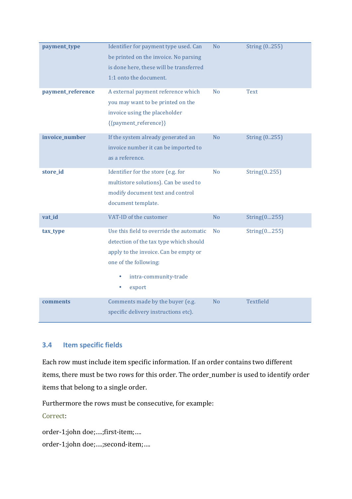| payment_type<br>payment_reference | Identifier for payment type used. Can<br>be printed on the invoice. No parsing<br>is done here, these will be transferred<br>1:1 onto the document.<br>A external payment reference which                         | N <sub>0</sub><br>N <sub>0</sub> | String (0255)<br><b>Text</b> |
|-----------------------------------|-------------------------------------------------------------------------------------------------------------------------------------------------------------------------------------------------------------------|----------------------------------|------------------------------|
|                                   | you may want to be printed on the<br>invoice using the placeholder<br>{{payment_reference}}                                                                                                                       |                                  |                              |
| invoice_number                    | If the system already generated an<br>invoice number it can be imported to<br>as a reference.                                                                                                                     | N <sub>o</sub>                   | String (0255)                |
| store_id                          | Identifier for the store (e.g. for<br>multistore solutions). Can be used to<br>modify document text and control<br>document template.                                                                             | N <sub>o</sub>                   | String(0.255)                |
| vat_id                            | VAT-ID of the customer                                                                                                                                                                                            | N <sub>o</sub>                   | String(0255)                 |
| tax_type                          | Use this field to override the automatic<br>detection of the tax type which should<br>apply to the invoice. Can be empty or<br>one of the following:<br>intra-community-trade<br>$\bullet$<br>$\bullet$<br>export | N <sub>o</sub>                   | String(0255)                 |
| comments                          | Comments made by the buyer (e.g.<br>specific delivery instructions etc).                                                                                                                                          | N <sub>o</sub>                   | Textfield                    |

#### **3.4 Item specific fields**

Each row must include item specific information. If an order contains two different items, there must be two rows for this order. The order\_number is used to identify order items that belong to a single order.

Furthermore the rows must be consecutive, for example:

Correct:

```
order-1;john doe;....;first-item;....
order-1;john doe;....;second-item;....
```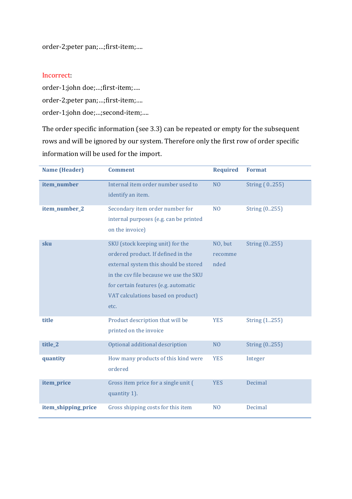order-2;peter pan;...;first-item;....

#### Incorrect:

order-1;john doe;...;first-item;.... order-2;peter pan;...;first-item;.... order-1;john doe;...;second-item;....

The order specific information (see 3.3) can be repeated or empty for the subsequent rows and will be ignored by our system. Therefore only the first row of order specific information will be used for the import.

| <b>Name (Header)</b> | <b>Comment</b>                                                                                                                                                                                                                                  | <b>Required</b>            | <b>Format</b>  |
|----------------------|-------------------------------------------------------------------------------------------------------------------------------------------------------------------------------------------------------------------------------------------------|----------------------------|----------------|
| item_number          | Internal item order number used to<br>identify an item.                                                                                                                                                                                         | N <sub>O</sub>             | String (0255)  |
| item_number_2        | Secondary item order number for<br>internal purposes (e.g. can be printed<br>on the invoice)                                                                                                                                                    | N <sub>O</sub>             | String (0255)  |
| sku                  | SKU (stock keeping unit) for the<br>ordered product. If defined in the<br>external system this should be stored<br>in the csy file because we use the SKU<br>for certain features (e.g. automatic<br>VAT calculations based on product)<br>etc. | NO, but<br>recomme<br>nded | String (0.255) |
| title                | Product description that will be<br>printed on the invoice                                                                                                                                                                                      | <b>YES</b>                 | String (1255)  |
| title_2              | Optional additional description                                                                                                                                                                                                                 | N <sub>O</sub>             | String (0255)  |
| quantity             | How many products of this kind were<br>ordered                                                                                                                                                                                                  | <b>YES</b>                 | Integer        |
| item_price           | Gross item price for a single unit (<br>quantity 1).                                                                                                                                                                                            | <b>YES</b>                 | Decimal        |
| item_shipping_price  | Gross shipping costs for this item                                                                                                                                                                                                              | N <sub>O</sub>             | Decimal        |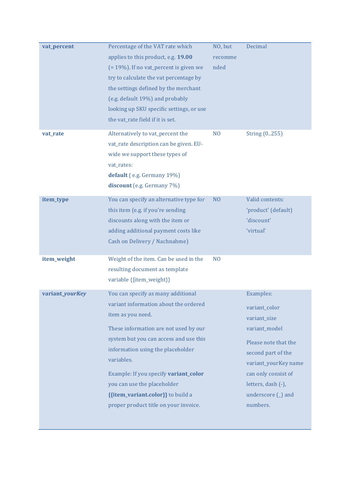| vat_percent     | Percentage of the VAT rate which<br>applies to this product, e.g. 19.00<br>$(= 19\%)$ . If no vat_percent is given we<br>try to calculate the vat percentage by<br>the settings defined by the merchant<br>(e.g. default 19%) and probably<br>looking up SKU specific settings, or use<br>the vat_rate field if it is set.                                                                   | NO, but<br>recomme<br>nded | Decimal                                                                                                                                                                                                          |
|-----------------|----------------------------------------------------------------------------------------------------------------------------------------------------------------------------------------------------------------------------------------------------------------------------------------------------------------------------------------------------------------------------------------------|----------------------------|------------------------------------------------------------------------------------------------------------------------------------------------------------------------------------------------------------------|
| vat_rate        | Alternatively to vat_percent the<br>vat_rate description can be given. EU-<br>wide we support these types of<br>vat_rates:<br>default (e.g. Germany 19%)<br>discount (e.g. Germany 7%)                                                                                                                                                                                                       | N <sub>O</sub>             | String (0.255)                                                                                                                                                                                                   |
| item_type       | You can specify an alternative type for<br>this item (e.g. if you're sending<br>discounts along with the item or<br>adding additional payment costs like<br>Cash on Delivery / Nachnahme)                                                                                                                                                                                                    | N <sub>O</sub>             | Valid contents:<br>'product' (default)<br>'discount'<br>'virtual'                                                                                                                                                |
| item_weight     | Weight of the item. Can be used in the<br>resulting document as template<br>variable {{item_weight}}                                                                                                                                                                                                                                                                                         | N <sub>O</sub>             |                                                                                                                                                                                                                  |
| variant_yourKey | You can specify as many additional<br>variant information about the ordered<br>item as you need.<br>These information are not used by our<br>system but you can access and use this<br>information using the placeholder<br>variables.<br>Example: If you specify variant_color<br>you can use the placeholder<br>{{item_variant.color}} to build a<br>proper product title on your invoice. |                            | Examples:<br>variant_color<br>variant_size<br>variant_model<br>Please note that the<br>second part of the<br>variant_yourKey name<br>can only consist of<br>letters, dash (-),<br>underscore (_) and<br>numbers. |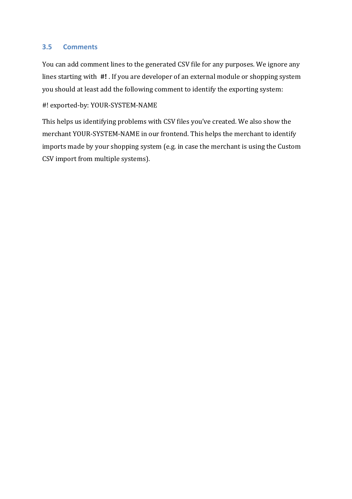#### **3.5 Comments**

You can add comment lines to the generated CSV file for any purposes. We ignore any lines starting with  $#!$ . If you are developer of an external module or shopping system you should at least add the following comment to identify the exporting system:

#! exported-by: YOUR-SYSTEM-NAME

This helps us identifying problems with CSV files you've created. We also show the merchant YOUR-SYSTEM-NAME in our frontend. This helps the merchant to identify imports made by your shopping system (e.g. in case the merchant is using the Custom CSV import from multiple systems).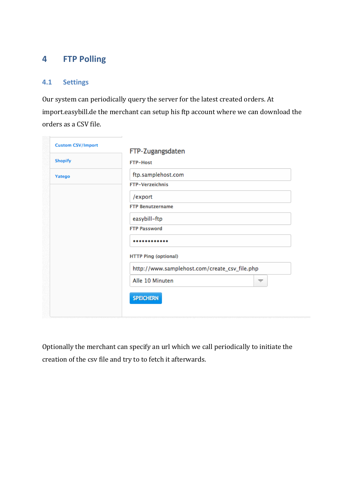# **4 FTP Polling**

### **4.1 Settings**

Our system can periodically query the server for the latest created orders. At import.easybill.de the merchant can setup his ftp account where we can download the orders as a CSV file.

| <b>Custom CSV/Import</b> | FTP-Zugangsdaten                              |
|--------------------------|-----------------------------------------------|
| <b>Shopify</b>           | <b>FTP-Host</b>                               |
| Yatego                   | ftp.samplehost.com                            |
|                          | <b>FTP-Verzeichnis</b>                        |
|                          | /export                                       |
|                          | <b>FTP Benutzername</b>                       |
|                          | easybill-ftp                                  |
|                          | <b>FTP Password</b>                           |
|                          |                                               |
|                          | <b>HTTP Ping (optional)</b>                   |
|                          | http://www.samplehost.com/create_csv_file.php |
|                          | Alle 10 Minuten<br>$\overline{\phantom{a}}$   |
|                          | <b>SPEICHERN</b>                              |
|                          |                                               |

Optionally the merchant can specify an url which we call periodically to initiate the creation of the csv file and try to to fetch it afterwards.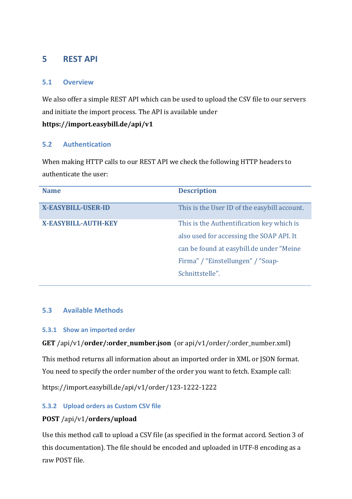# **5 REST API**

#### **5.1 Overview**

We also offer a simple REST API which can be used to upload the CSV file to our servers and initiate the import process. The API is available under **https://import.easybill.de/api/v1**

#### **5.2 Authentication**

When making HTTP calls to our REST API we check the following HTTP headers to authenticate the user:

| <b>Name</b>                | <b>Description</b>                           |
|----------------------------|----------------------------------------------|
| <b>X-EASYBILL-USER-ID</b>  | This is the User ID of the easybill account. |
| <b>X-EASYBILL-AUTH-KEY</b> | This is the Authentification key which is    |
|                            | also used for accessing the SOAP API. It     |
|                            | can be found at easybill.de under "Meine"    |
|                            | Firma" / "Einstellungen" / "Soap-            |
|                            | Schnittstelle".                              |
|                            |                                              |

#### **5.3 Available Methods**

#### **5.3.1 Show an imported order**

#### **GET** /api/v1/**order/:order\_number.json** (or api/v1/order/:order\_number.xml)

This method returns all information about an imported order in XML or JSON format. You need to specify the order number of the order you want to fetch. Example call:

https://import.easybill.de/api/v1/order/123-1222-1222

#### **5.3.2 Upload orders as Custom CSV file**

#### **POST** /api/v1/**orders/upload**

Use this method call to upload a CSV file (as specified in the format accord. Section 3 of this documentation). The file should be encoded and uploaded in UTF-8 encoding as a raw POST file.